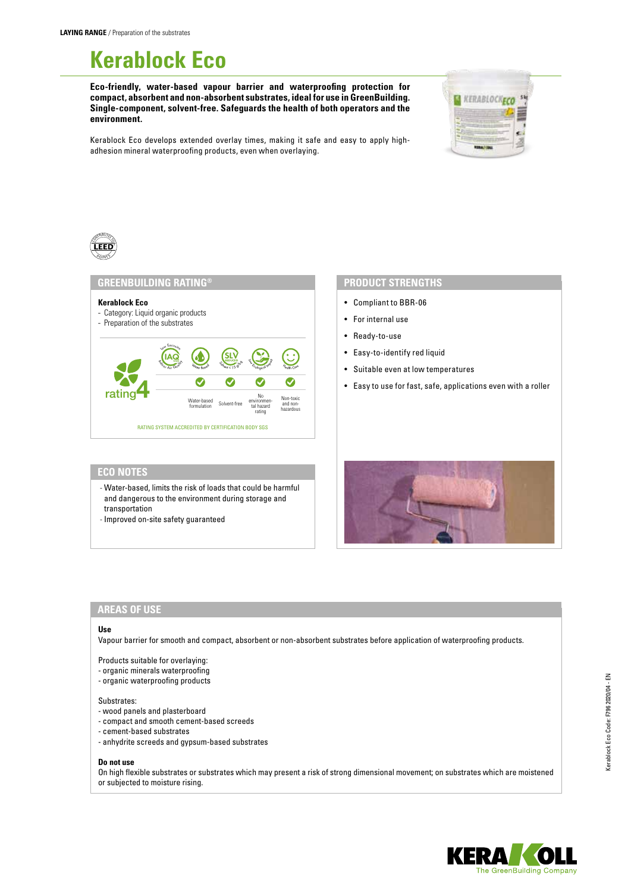# **Kerablock Eco**

**Eco-friendly, water-based vapour barrier and waterproofing protection for compact, absorbent and non-absorbent substrates, ideal for use in GreenBuilding. Single-component, solvent-free. Safeguards the health of both operators and the environment.**



Kerablock Eco develops extended overlay times, making it safe and easy to apply highadhesion mineral waterproofing products, even when overlaying.



# **GREENBUILDING RATING®**



# **PRODUCT STRENGTHS**

- Compliant to BBR-06
- For internal use
- Ready-to-use
- Easy-to-identify red liquid
- Suitable even at low temperatures
- Easy to use for fast, safe, applications even with a roller

# **ECO NOTES**

- Water-based, limits the risk of loads that could be harmful and dangerous to the environment during storage and transportation
- Improved on-site safety guaranteed



# **AREAS OF USE**

### **Use**

Vapour barrier for smooth and compact, absorbent or non-absorbent substrates before application of waterproofing products.

- Products suitable for overlaying:
- organic minerals waterproofing
- organic waterproofing products

#### Substrates:

- wood panels and plasterboard
- compact and smooth cement-based screeds
- cement-based substrates
- anhydrite screeds and gypsum-based substrates

### **Do not use**

On high flexible substrates or substrates which may present a risk of strong dimensional movement; on substrates which are moistened or subjected to moisture rising.

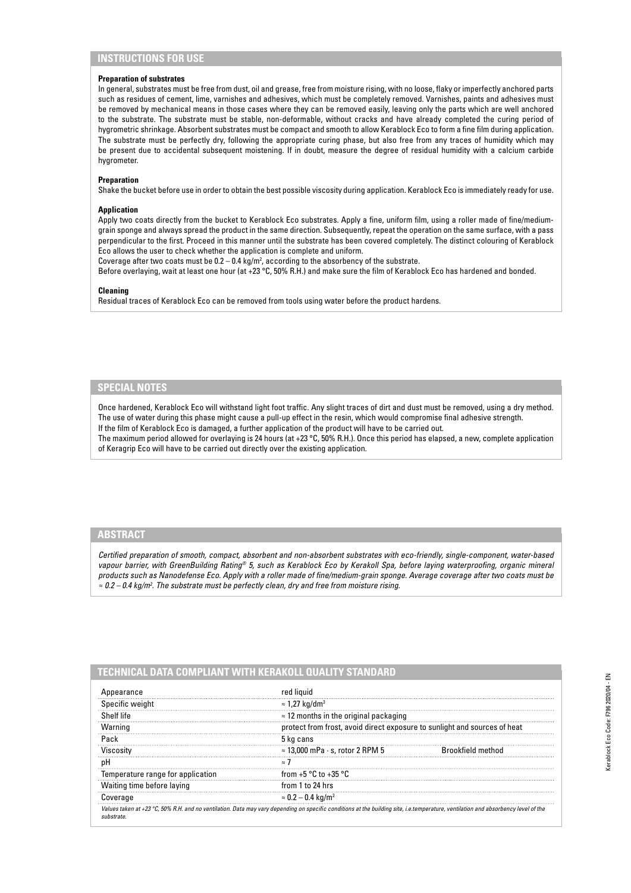# **INSTRUCTIONS FOR USE**

### **Preparation of substrates**

In general, substrates must be free from dust, oil and grease, free from moisture rising, with no loose, flaky or imperfectly anchored parts such as residues of cement, lime, varnishes and adhesives, which must be completely removed. Varnishes, paints and adhesives must be removed by mechanical means in those cases where they can be removed easily, leaving only the parts which are well anchored to the substrate. The substrate must be stable, non-deformable, without cracks and have already completed the curing period of hygrometric shrinkage. Absorbent substrates must be compact and smooth to allow Kerablock Eco to form a fine film during application. The substrate must be perfectly dry, following the appropriate curing phase, but also free from any traces of humidity which may be present due to accidental subsequent moistening. If in doubt, measure the degree of residual humidity with a calcium carbide hygrometer.

#### **Preparation**

Shake the bucket before use in order to obtain the best possible viscosity during application. Kerablock Eco is immediately ready for use.

#### **Application**

Apply two coats directly from the bucket to Kerablock Eco substrates. Apply a fine, uniform film, using a roller made of fine/mediumgrain sponge and always spread the product in the same direction. Subsequently, repeat the operation on the same surface, with a pass perpendicular to the first. Proceed in this manner until the substrate has been covered completely. The distinct colouring of Kerablock Eco allows the user to check whether the application is complete and uniform.

Coverage after two coats must be  $0.2 - 0.4$  kg/m<sup>2</sup>, according to the absorbency of the substrate.

Before overlaying, wait at least one hour (at +23 °C, 50% R.H.) and make sure the film of Kerablock Eco has hardened and bonded.

#### **Cleaning**

Residual traces of Kerablock Eco can be removed from tools using water before the product hardens.

# **SPECIAL NOTES**

Once hardened, Kerablock Eco will withstand light foot traffic. Any slight traces of dirt and dust must be removed, using a dry method. The use of water during this phase might cause a pull-up effect in the resin, which would compromise final adhesive strength. If the film of Kerablock Eco is damaged, a further application of the product will have to be carried out. The maximum period allowed for overlaying is 24 hours (at +23 °C, 50% R.H.). Once this period has elapsed, a new, complete application of Keragrip Eco will have to be carried out directly over the existing application.

# **ABSTRACT**

*Certified preparation of smooth, compact, absorbent and non-absorbent substrates with eco-friendly, single-component, water-based vapour barrier, with GreenBuilding Rating® 5, such as Kerablock Eco by Kerakoll Spa, before laying waterproofing, organic mineral products such as Nanodefense Eco. Apply with a roller made of fine/medium-grain sponge. Average coverage after two coats must be ≈ 0.2 – 0.4 kg/m2 . The substrate must be perfectly clean, dry and free from moisture rising.*

|  |  | TECHNICAL DATA COMPLIANT WITH KERAKOLL QUALITY STANDARD |  |  |
|--|--|---------------------------------------------------------|--|--|
|--|--|---------------------------------------------------------|--|--|

| pearance                          |                                                                           |  |  |
|-----------------------------------|---------------------------------------------------------------------------|--|--|
| Specific weight                   | $\approx$ 1,27 kg/dm <sup>3</sup>                                         |  |  |
| Shelf life                        | $\approx$ 12 months in the original packaging                             |  |  |
| Warning                           | protect from frost, avoid direct exposure to sunlight and sources of heat |  |  |
| Pack                              | 5 ka cans                                                                 |  |  |
| Viscositv                         | $\approx$ 13.000 mPa $\cdot$ s. rotor 2 RPM 5                             |  |  |
|                                   | $\approx$                                                                 |  |  |
| Temperature range for application | from $+5$ °C to $+35$ °C                                                  |  |  |
| Waiting time before laying        | from 1 to 24 hrs                                                          |  |  |
| Coverage                          | $\approx 0.2 - 0.4 \text{ kg/m}^2$                                        |  |  |